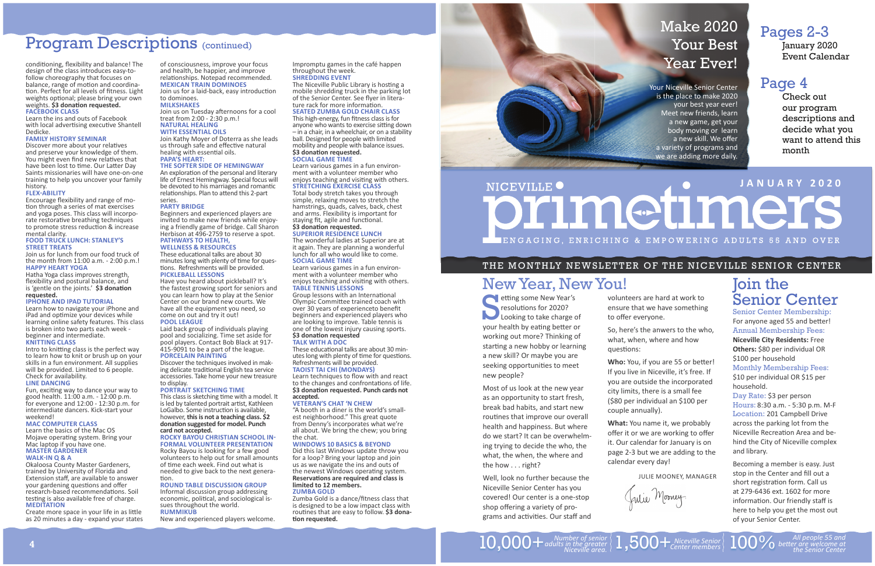of consciousness, improve your focus and health, be happier, and improve relationships. Notepad recommended. **MEXICAN TRAIN DOMINOES**

Join us for a laid-back, easy introduction to dominoes.

Join us on Tuesday afternoons for a cool treat from 2:00 - 2:30 p.m.! **NATURAL HEALING** 

### **MILKSHAKES**

#### **WITH ESSENTIAL OILS**

 Join Kathy Moyer of Doterra as she leads us through safe and effective natural healing with essential oils. **PAPA'S HEART:** 

#### **THE SOFTER SIDE OF HEMINGWAY**

An exploration of the personal and literary life of Ernest Hemingway. Special focus will be devoted to his marriages and romantic relationships. Plan to attend this 2-part

minutes long with plenty of time for questions. Refreshments will be provided. **PICKLEBALL LESSONS**

#### series.**PARTY BRIDGE**

 Beginners and experienced players are invited to make new friends while enjoying a friendly game of bridge. Call Sharon Herbison at 496-2759 to reserve a spot. **PATHWAYS TO HEALTH, WELLNESS & RESOURCES**

#### These educational talks are about 30

This class is sketching time with a model. It is led by talented portrait artist, Kathleen LoGalbo. Some instruction is available, however, **this is not a teaching class. \$2 dona Ɵ on suggested for model. Punch card not accepted.** 

#### **ROCKY BAYOU CHRISTIAN SCHOOL IN-FORMAL VOLUNTEER PRESENTATION**

 Rocky Bayou is looking for a few good volunteers to help out for small amounts of time each week. Find out what is needed to give back to the next generation

Have you heard about pickleball? It's the fastest growing sport for seniors and you can learn how to play at the Senior Center on our brand new courts. We have all the equipment you need, so come on out and try it out!

The Niceville Public Library is hosting a mobile shredding truck in the parking lot of the Senior Center. See flyer in literature rack for more information. **SEATED ZUMBA GOLD CHAIR CLASS**

#### **POOL LEAGUE**

 Laid back group of individuals playing pool and socializing. Time set aside for pool players. Contact Bob Black at 917- 415-9091 to be a part of the league. **PORCELAIN PAINTING**

This high-energy, fun fitness class is for anyone who wants to exercise sitting down – in a chair, in a wheelchair, or on a stability ball. Designed for people with limited mobility and people with balance issues. **\$3 dona Ɵ on requested.**

 Discover the techniques involved in making delicate traditional English tea service accessories. Take home your new treasure to display.

#### **PORTRAIT SKETCHING TIME**

Group lessons with an International Olympic Committee trained coach with over 30 years of experienceto benefit beginners and experienced players who are looking to improve. Table tennis is one of the lowest injury causing sports. **\$3 dona Ɵ on requested TALK WITH A DOC**

#### These educational talks are about 30 minutes long with plenty of time for questions. Refreshments will be provided.

**TAOIST TAI CHI (MONDAYS)** 

Learn techniques to flow with and react to the changes and confrontations of life. **\$3 dona Ɵ on requested. Punch cards not accepted.**

## **ROUND TABLE DISCUSSION GROUP**

 Informal discussion group addressing economic, political, and sociological issues throughout the world. **RUMMIKUB**

New and experienced players welcome.

## Zumba Gold is a dance/fitness class that is designed to be a low impact class with

routines that are easy to follow. **\$3 dona-Ɵ on requested.**



Impromptu games in the café happen throughout the week. **SHREDDING EVENT**

# Program Descriptions (continued)

conditioning, flexibility and balance! The design of the class introduces easy-tofollow choreography that focuses on balance, range of motion and coordination. Perfect for all levels of fitness. Light weights optional; please bring your own weights. **\$3 dona Ɵ on requested.**

Discover more about your relatives and preserve your knowledge of them. You might even find new relatives that have been lost to time. Our Latter Day Saints missionaries will have one-on-one training to help you uncover your family history.

Encourage flexibility and range of motion through a series of mat exercises and yoga poses. This class will incorporate restorative breathing techniques to promote stress reduction & increase mental clarity.

## **SOCIAL GAME TIME**

 Learn various games in a fun environment with a volunteer member who enjoys teaching and visiting with others. **STRETCHING EXERCISE CLASS**

flexibility and postural balance, and is 'gentle on the joints.' \$3 donation **requested.**

Total body stretch takes you through simple, relaxing moves to stretch the hamstrings, quads, calves, back, chest and arms. Flexibility is important for staying fit, agile and functional. **\$3 dona Ɵ on requested.**

Intro to knitting class is the perfect way to learn how to knit or brush up on your skills in a fun environment. All supplies will be provided. Limited to 6 people. Check for availability.

#### **SUPERIOR RESIDENCE LUNCH**

Fun, exciting way to dance your way to good health. 11:00 a.m. - 12:00 p.m. for everyone and 12:00 - 12:30 p.m. for intermediate dancers. Kick-start your weekend!

The wonderful ladies at Superior are at it again. They are planning a wonderful lunch for all who would like to come. **SOCIAL GAME TIME**

 Learn various games in a fun environment with a volunteer member who enjoys teaching and visiting with others. **TABLE TENNIS LESSONS**

Create more space in your life in as little as 20 minutes a day - expand your states

Well, look no further because the Niceville Senior Center has you covered! Our center is a one-stop shop offering a variety of programs and activities. Our staff and

volunteers are hard at work to ensure that we have something to offer everyone.

#### **VETERAN'S CHAT 'N CHEW**

 "A booth in a diner is the world's smallest neighborhood." This great quote from Denny's incorporates what we're all about. We bring the chew; you bring the chat.

**Who:** You, if you are 55 or better! If you live in Niceville, it's free. If you are outside the incorporated city limits, there is a small fee (\$80 per individual an \$100 per

#### **WINDOWS 10 BASICS & BEYOND**

 Did this last Windows update throw you for a loop? Bring your laptop and join us as we navigate the ins and outs of the newest Windows operating system. **Reserva Ɵ ons are required and class is limited to 12 members. ZUMBA GOLD**

# **JANUARY 2020**NICEVILLE<sup>O</sup> primetimers IENGAGING, ENRICHING & EMPOWERING ADULTS 55 AND OVER

#### **FACEBOOK CLASS**

Learn the ins and outs of Facebook with local advertising executive Shantell Dedicke.

#### **FAMILY HISTORY SEMINAR**

#### **FLEXͳABILITY**

#### **FOOD TRUCK LUNCH: STANLEY'S STREET TREATS**

 Join us for lunch from our food truck of the month from 11:00 a.m. - 2:00 p.m.! **HAPPY HEART YOGA**Hatha Yoga class improves strength,

#### **IPHONE AND IPAD TUTORIAL**

 Learn how to navigate your iPhone and iPad and optimize your devices while learning online safety features. This class is broken into two parts each week beginner and intermediate.

#### **KNITTING CLASS**

#### **LINE DANCING**

#### **MAC COMPUTER CLASS**

Learn the basics of the Mac OS Mojave opera Ɵ ng system. Bring your Mac laptop if you have one. **MASTER GARDENER** 

#### **WALK-IN Q & A**

Okaloosa County Master Gardeners, trained by University of Florida and Extension sta ff , are available to answer your gardening questions and offer research-based recommendations. Soil testing is also available free of charge. **MEDITATION**

# Make 2020 Your Best Year Ever!

Your Niceville Senior Center is the place to make 2020 your best year ever! Meet new friends, learn a new game, get your body moving or learn a new skill. We offer a variety of programs and we are adding more daily.

## THE MONTHLY NEWSLETTER OF THE NICEVILLE SENIOR CENTER

S etting some New Year's resolutions for 2020? Looking to take charge of your health by eating better or working out more? Thinking of starting a new hobby or learning a new skill? Or maybe you are seeking opportunities to meet new people?

Most of us look at the new year as an opportunity to start fresh, break bad habits, and start new routines that improve our overall health and happiness. But where do we start? It can be overwhelming trying to decide the who, the what, the when, the where and the how . . . right?

## Pages 2-3

January 2020 Event Calendar

## Page 4

Check out our program descriptions and decide what you want to attend this month

So, here's the anwers to the who, what, when, where and how

ques Ɵ ons:

couple annually). **What:** You name it, we probably offer it or we are working to offer it. Our calendar for January is on page 2-3 but we are adding to the calendar every day!



JULIE MOONEY, MANAGER

Julie Mooney.

*Ʃ er are welcome at the Senior Center*

# Join the Senior Center

Senior Center Membership: For anyone aged 55 and better! Annual Membership Fees: **Niceville City Residents:** Free **Others:** \$80 per individual OR \$100 per household Monthly Membership Fees: \$10 per individual OR \$15 per household.

Day Rate: \$3 per person Hours: 8:30 a.m. - 5:30 p.m. M-F Location: 201 Campbell Drive across the parking lot from the Niceville Recrea Ɵ on Area and behind the City of Niceville complex and library.

Becoming a member is easy. Just stop in the Center and fill out a short registration form. Call us at 279-6436 ext. 1602 for more information. Our friendly staff is here to help you get the most out of your Senior Center.

# New Year, New You!